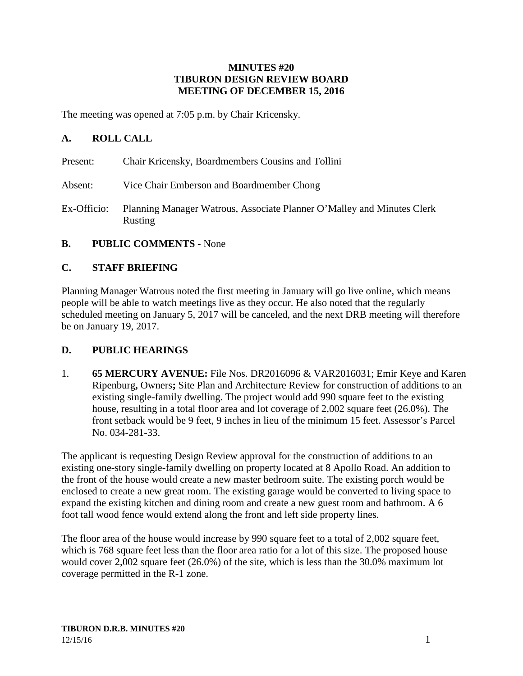#### **MINUTES #20 TIBURON DESIGN REVIEW BOARD MEETING OF DECEMBER 15, 2016**

The meeting was opened at 7:05 p.m. by Chair Kricensky.

### **A. ROLL CALL**

- Present: Chair Kricensky, Boardmembers Cousins and Tollini
- Absent: Vice Chair Emberson and Boardmember Chong
- Ex-Officio: Planning Manager Watrous, Associate Planner O'Malley and Minutes Clerk Rusting
- **B. PUBLIC COMMENTS** None

### **C. STAFF BRIEFING**

Planning Manager Watrous noted the first meeting in January will go live online, which means people will be able to watch meetings live as they occur. He also noted that the regularly scheduled meeting on January 5, 2017 will be canceled, and the next DRB meeting will therefore be on January 19, 2017.

### **D. PUBLIC HEARINGS**

1. **65 MERCURY AVENUE:** File Nos. DR2016096 & VAR2016031; Emir Keye and Karen Ripenburg**,** Owners**;** Site Plan and Architecture Review for construction of additions to an existing single-family dwelling. The project would add 990 square feet to the existing house, resulting in a total floor area and lot coverage of 2,002 square feet (26.0%). The front setback would be 9 feet, 9 inches in lieu of the minimum 15 feet. Assessor's Parcel No. 034-281-33.

The applicant is requesting Design Review approval for the construction of additions to an existing one-story single-family dwelling on property located at 8 Apollo Road. An addition to the front of the house would create a new master bedroom suite. The existing porch would be enclosed to create a new great room. The existing garage would be converted to living space to expand the existing kitchen and dining room and create a new guest room and bathroom. A 6 foot tall wood fence would extend along the front and left side property lines.

The floor area of the house would increase by 990 square feet to a total of 2,002 square feet, which is 768 square feet less than the floor area ratio for a lot of this size. The proposed house would cover 2,002 square feet (26.0%) of the site, which is less than the 30.0% maximum lot coverage permitted in the R-1 zone.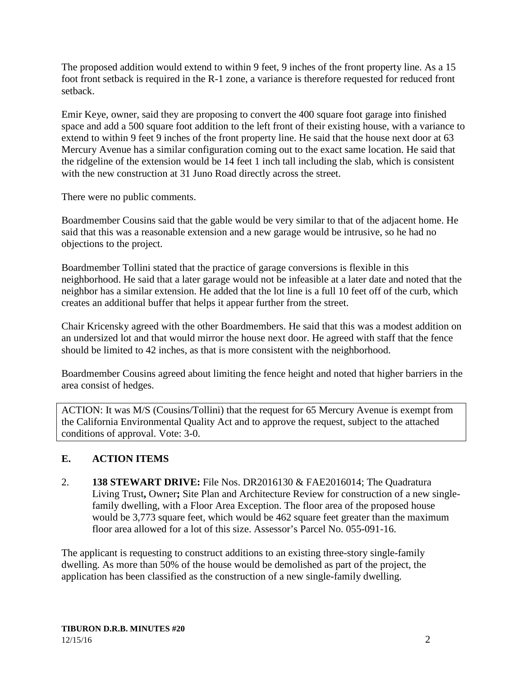The proposed addition would extend to within 9 feet, 9 inches of the front property line. As a 15 foot front setback is required in the R-1 zone, a variance is therefore requested for reduced front setback.

Emir Keye, owner, said they are proposing to convert the 400 square foot garage into finished space and add a 500 square foot addition to the left front of their existing house, with a variance to extend to within 9 feet 9 inches of the front property line. He said that the house next door at 63 Mercury Avenue has a similar configuration coming out to the exact same location. He said that the ridgeline of the extension would be 14 feet 1 inch tall including the slab, which is consistent with the new construction at 31 Juno Road directly across the street.

There were no public comments.

Boardmember Cousins said that the gable would be very similar to that of the adjacent home. He said that this was a reasonable extension and a new garage would be intrusive, so he had no objections to the project.

Boardmember Tollini stated that the practice of garage conversions is flexible in this neighborhood. He said that a later garage would not be infeasible at a later date and noted that the neighbor has a similar extension. He added that the lot line is a full 10 feet off of the curb, which creates an additional buffer that helps it appear further from the street.

Chair Kricensky agreed with the other Boardmembers. He said that this was a modest addition on an undersized lot and that would mirror the house next door. He agreed with staff that the fence should be limited to 42 inches, as that is more consistent with the neighborhood.

Boardmember Cousins agreed about limiting the fence height and noted that higher barriers in the area consist of hedges.

ACTION: It was M/S (Cousins/Tollini) that the request for 65 Mercury Avenue is exempt from the California Environmental Quality Act and to approve the request, subject to the attached conditions of approval. Vote: 3-0.

# **E. ACTION ITEMS**

2. **138 STEWART DRIVE:** File Nos. DR2016130 & FAE2016014; The Quadratura Living Trust**,** Owner**;** Site Plan and Architecture Review for construction of a new singlefamily dwelling, with a Floor Area Exception. The floor area of the proposed house would be 3,773 square feet, which would be 462 square feet greater than the maximum floor area allowed for a lot of this size. Assessor's Parcel No. 055-091-16.

The applicant is requesting to construct additions to an existing three-story single-family dwelling. As more than 50% of the house would be demolished as part of the project, the application has been classified as the construction of a new single-family dwelling.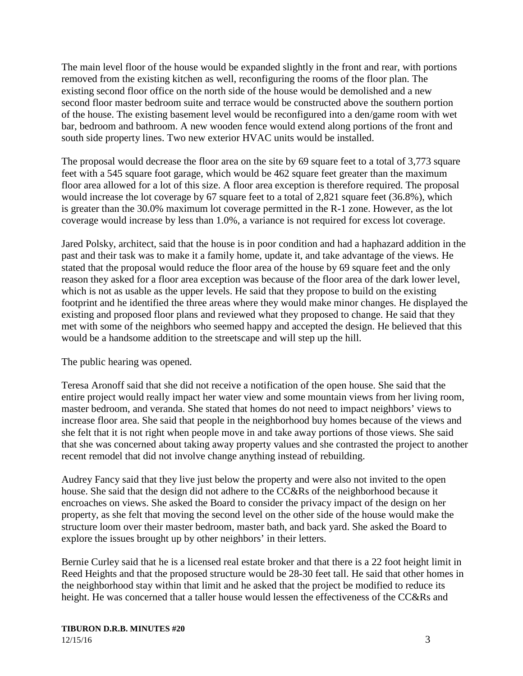The main level floor of the house would be expanded slightly in the front and rear, with portions removed from the existing kitchen as well, reconfiguring the rooms of the floor plan. The existing second floor office on the north side of the house would be demolished and a new second floor master bedroom suite and terrace would be constructed above the southern portion of the house. The existing basement level would be reconfigured into a den/game room with wet bar, bedroom and bathroom. A new wooden fence would extend along portions of the front and south side property lines. Two new exterior HVAC units would be installed.

The proposal would decrease the floor area on the site by 69 square feet to a total of 3,773 square feet with a 545 square foot garage, which would be 462 square feet greater than the maximum floor area allowed for a lot of this size. A floor area exception is therefore required. The proposal would increase the lot coverage by 67 square feet to a total of 2,821 square feet (36.8%), which is greater than the 30.0% maximum lot coverage permitted in the R-1 zone. However, as the lot coverage would increase by less than 1.0%, a variance is not required for excess lot coverage.

Jared Polsky, architect, said that the house is in poor condition and had a haphazard addition in the past and their task was to make it a family home, update it, and take advantage of the views. He stated that the proposal would reduce the floor area of the house by 69 square feet and the only reason they asked for a floor area exception was because of the floor area of the dark lower level, which is not as usable as the upper levels. He said that they propose to build on the existing footprint and he identified the three areas where they would make minor changes. He displayed the existing and proposed floor plans and reviewed what they proposed to change. He said that they met with some of the neighbors who seemed happy and accepted the design. He believed that this would be a handsome addition to the streetscape and will step up the hill.

The public hearing was opened.

Teresa Aronoff said that she did not receive a notification of the open house. She said that the entire project would really impact her water view and some mountain views from her living room, master bedroom, and veranda. She stated that homes do not need to impact neighbors' views to increase floor area. She said that people in the neighborhood buy homes because of the views and she felt that it is not right when people move in and take away portions of those views. She said that she was concerned about taking away property values and she contrasted the project to another recent remodel that did not involve change anything instead of rebuilding.

Audrey Fancy said that they live just below the property and were also not invited to the open house. She said that the design did not adhere to the CC&Rs of the neighborhood because it encroaches on views. She asked the Board to consider the privacy impact of the design on her property, as she felt that moving the second level on the other side of the house would make the structure loom over their master bedroom, master bath, and back yard. She asked the Board to explore the issues brought up by other neighbors' in their letters.

Bernie Curley said that he is a licensed real estate broker and that there is a 22 foot height limit in Reed Heights and that the proposed structure would be 28-30 feet tall. He said that other homes in the neighborhood stay within that limit and he asked that the project be modified to reduce its height. He was concerned that a taller house would lessen the effectiveness of the CC&Rs and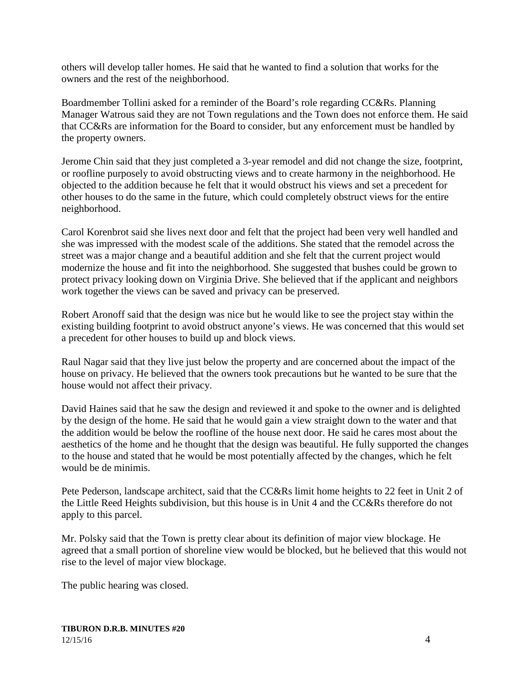others will develop taller homes. He said that he wanted to find a solution that works for the owners and the rest of the neighborhood.

Boardmember Tollini asked for a reminder of the Board's role regarding CC&Rs. Planning Manager Watrous said they are not Town regulations and the Town does not enforce them. He said that CC&Rs are information for the Board to consider, but any enforcement must be handled by the property owners.

Jerome Chin said that they just completed a 3-year remodel and did not change the size, footprint, or roofline purposely to avoid obstructing views and to create harmony in the neighborhood. He objected to the addition because he felt that it would obstruct his views and set a precedent for other houses to do the same in the future, which could completely obstruct views for the entire neighborhood.

Carol Korenbrot said she lives next door and felt that the project had been very well handled and she was impressed with the modest scale of the additions. She stated that the remodel across the street was a major change and a beautiful addition and she felt that the current project would modernize the house and fit into the neighborhood. She suggested that bushes could be grown to protect privacy looking down on Virginia Drive. She believed that if the applicant and neighbors work together the views can be saved and privacy can be preserved.

Robert Aronoff said that the design was nice but he would like to see the project stay within the existing building footprint to avoid obstruct anyone's views. He was concerned that this would set a precedent for other houses to build up and block views.

Raul Nagar said that they live just below the property and are concerned about the impact of the house on privacy. He believed that the owners took precautions but he wanted to be sure that the house would not affect their privacy.

David Haines said that he saw the design and reviewed it and spoke to the owner and is delighted by the design of the home. He said that he would gain a view straight down to the water and that the addition would be below the roofline of the house next door. He said he cares most about the aesthetics of the home and he thought that the design was beautiful. He fully supported the changes to the house and stated that he would be most potentially affected by the changes, which he felt would be de minimis.

Pete Pederson, landscape architect, said that the CC&Rs limit home heights to 22 feet in Unit 2 of the Little Reed Heights subdivision, but this house is in Unit 4 and the CC&Rs therefore do not apply to this parcel.

Mr. Polsky said that the Town is pretty clear about its definition of major view blockage. He agreed that a small portion of shoreline view would be blocked, but he believed that this would not rise to the level of major view blockage.

The public hearing was closed.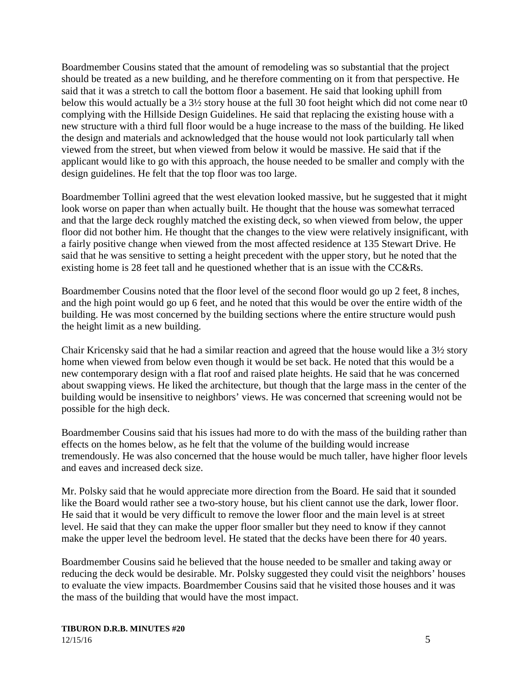Boardmember Cousins stated that the amount of remodeling was so substantial that the project should be treated as a new building, and he therefore commenting on it from that perspective. He said that it was a stretch to call the bottom floor a basement. He said that looking uphill from below this would actually be a 3½ story house at the full 30 foot height which did not come near t0 complying with the Hillside Design Guidelines. He said that replacing the existing house with a new structure with a third full floor would be a huge increase to the mass of the building. He liked the design and materials and acknowledged that the house would not look particularly tall when viewed from the street, but when viewed from below it would be massive. He said that if the applicant would like to go with this approach, the house needed to be smaller and comply with the design guidelines. He felt that the top floor was too large.

Boardmember Tollini agreed that the west elevation looked massive, but he suggested that it might look worse on paper than when actually built. He thought that the house was somewhat terraced and that the large deck roughly matched the existing deck, so when viewed from below, the upper floor did not bother him. He thought that the changes to the view were relatively insignificant, with a fairly positive change when viewed from the most affected residence at 135 Stewart Drive. He said that he was sensitive to setting a height precedent with the upper story, but he noted that the existing home is 28 feet tall and he questioned whether that is an issue with the CC&Rs.

Boardmember Cousins noted that the floor level of the second floor would go up 2 feet, 8 inches, and the high point would go up 6 feet, and he noted that this would be over the entire width of the building. He was most concerned by the building sections where the entire structure would push the height limit as a new building.

Chair Kricensky said that he had a similar reaction and agreed that the house would like a 3½ story home when viewed from below even though it would be set back. He noted that this would be a new contemporary design with a flat roof and raised plate heights. He said that he was concerned about swapping views. He liked the architecture, but though that the large mass in the center of the building would be insensitive to neighbors' views. He was concerned that screening would not be possible for the high deck.

Boardmember Cousins said that his issues had more to do with the mass of the building rather than effects on the homes below, as he felt that the volume of the building would increase tremendously. He was also concerned that the house would be much taller, have higher floor levels and eaves and increased deck size.

Mr. Polsky said that he would appreciate more direction from the Board. He said that it sounded like the Board would rather see a two-story house, but his client cannot use the dark, lower floor. He said that it would be very difficult to remove the lower floor and the main level is at street level. He said that they can make the upper floor smaller but they need to know if they cannot make the upper level the bedroom level. He stated that the decks have been there for 40 years.

Boardmember Cousins said he believed that the house needed to be smaller and taking away or reducing the deck would be desirable. Mr. Polsky suggested they could visit the neighbors' houses to evaluate the view impacts. Boardmember Cousins said that he visited those houses and it was the mass of the building that would have the most impact.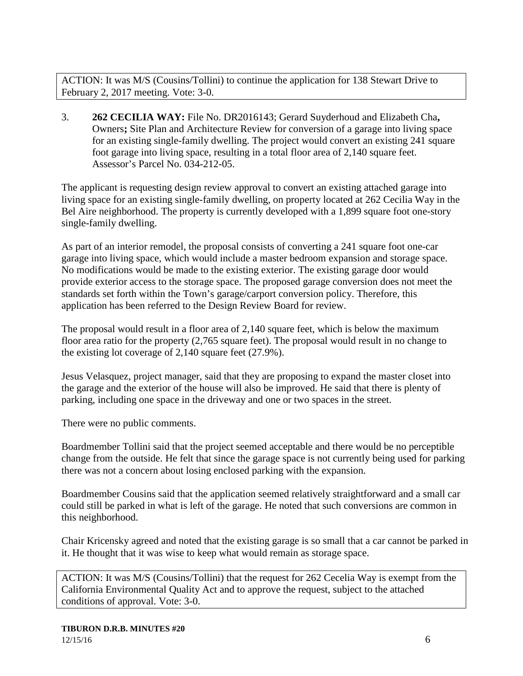ACTION: It was M/S (Cousins/Tollini) to continue the application for 138 Stewart Drive to February 2, 2017 meeting. Vote: 3-0.

3. **262 CECILIA WAY:** File No. DR2016143; Gerard Suyderhoud and Elizabeth Cha**,**  Owners**;** Site Plan and Architecture Review for conversion of a garage into living space for an existing single-family dwelling. The project would convert an existing 241 square foot garage into living space, resulting in a total floor area of 2,140 square feet. Assessor's Parcel No. 034-212-05.

The applicant is requesting design review approval to convert an existing attached garage into living space for an existing single-family dwelling, on property located at 262 Cecilia Way in the Bel Aire neighborhood. The property is currently developed with a 1,899 square foot one-story single-family dwelling.

As part of an interior remodel, the proposal consists of converting a 241 square foot one-car garage into living space, which would include a master bedroom expansion and storage space. No modifications would be made to the existing exterior. The existing garage door would provide exterior access to the storage space. The proposed garage conversion does not meet the standards set forth within the Town's garage/carport conversion policy. Therefore, this application has been referred to the Design Review Board for review.

The proposal would result in a floor area of 2,140 square feet, which is below the maximum floor area ratio for the property (2,765 square feet). The proposal would result in no change to the existing lot coverage of 2,140 square feet (27.9%).

Jesus Velasquez, project manager, said that they are proposing to expand the master closet into the garage and the exterior of the house will also be improved. He said that there is plenty of parking, including one space in the driveway and one or two spaces in the street.

There were no public comments.

Boardmember Tollini said that the project seemed acceptable and there would be no perceptible change from the outside. He felt that since the garage space is not currently being used for parking there was not a concern about losing enclosed parking with the expansion.

Boardmember Cousins said that the application seemed relatively straightforward and a small car could still be parked in what is left of the garage. He noted that such conversions are common in this neighborhood.

Chair Kricensky agreed and noted that the existing garage is so small that a car cannot be parked in it. He thought that it was wise to keep what would remain as storage space.

ACTION: It was M/S (Cousins/Tollini) that the request for 262 Cecelia Way is exempt from the California Environmental Quality Act and to approve the request, subject to the attached conditions of approval. Vote: 3-0.